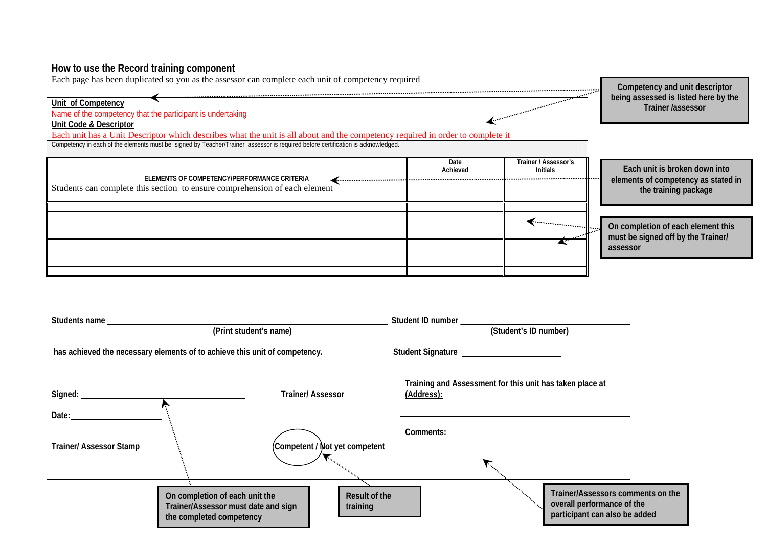## **How to use the Record training component**

| Each page has been duplicated so you as the assessor can complete each unit of competency required<br>Unit of Competency<br>Name of the competency that the participant is undertaking | Competency and unit descriptor<br>being assessed is listed here by the<br>Trainer /assessor |                                         |                                                                      |
|----------------------------------------------------------------------------------------------------------------------------------------------------------------------------------------|---------------------------------------------------------------------------------------------|-----------------------------------------|----------------------------------------------------------------------|
| Unit Code & Descriptor<br>Each unit has a Unit Descriptor which describes what the unit is all about and the competency required in order to complete it                               |                                                                                             |                                         |                                                                      |
| Competency in each of the elements must be signed by Teacher/Trainer assessor is required before certification is acknowledged.                                                        |                                                                                             |                                         |                                                                      |
| ELEMENTS OF COMPETENCY/PERFORMANCE CRITERIA<br>Students can complete this section to ensure comprehension of each element                                                              | Date<br>Achieved                                                                            | Trainer / Assessor's<br><b>Initials</b> | Each unit is broken down into<br>elements of competency as stated in |
|                                                                                                                                                                                        |                                                                                             |                                         | the training package                                                 |
|                                                                                                                                                                                        |                                                                                             |                                         |                                                                      |
|                                                                                                                                                                                        |                                                                                             |                                         | On completion of each element this                                   |
|                                                                                                                                                                                        |                                                                                             |                                         | must be signed off by the Trainer/                                   |
|                                                                                                                                                                                        |                                                                                             |                                         | assessor                                                             |
|                                                                                                                                                                                        |                                                                                             |                                         |                                                                      |

| Students name                                                              | (Print student's name)                                                                            |                                | (Student's ID number) |                                                                                                  |  |
|----------------------------------------------------------------------------|---------------------------------------------------------------------------------------------------|--------------------------------|-----------------------|--------------------------------------------------------------------------------------------------|--|
| has achieved the necessary elements of to achieve this unit of competency. |                                                                                                   |                                |                       |                                                                                                  |  |
| Signed: <u>_____________________</u>                                       | r                                                                                                 | <b>Trainer/Assessor</b>        | (Address):            | Training and Assessment for this unit has taken place at                                         |  |
| Date:<br><b>Trainer/Assessor Stamp</b>                                     |                                                                                                   | (Competent / Not yet competent | Comments:             |                                                                                                  |  |
|                                                                            | On completion of each unit the<br>Trainer/Assessor must date and sign<br>the completed competency | Result of the<br>training      |                       | Trainer/Assessors comments on the<br>overall performance of the<br>participant can also be added |  |